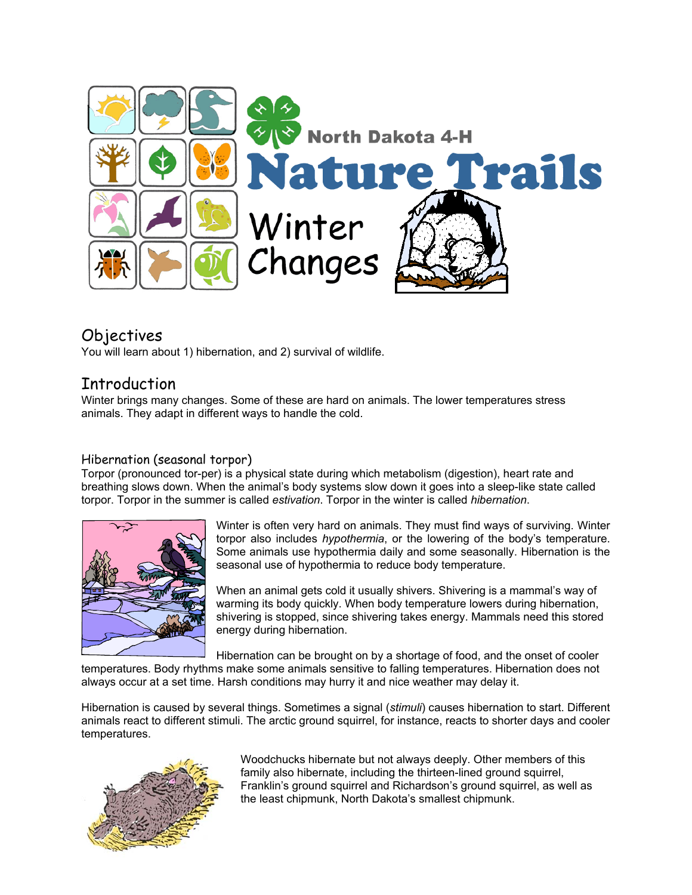

## Objectives

You will learn about 1) hibernation, and 2) survival of wildlife.

## Introduction

Winter brings many changes. Some of these are hard on animals. The lower temperatures stress animals. They adapt in different ways to handle the cold.

#### Hibernation (seasonal torpor)

Torpor (pronounced tor-per) is a physical state during which metabolism (digestion), heart rate and breathing slows down. When the animal's body systems slow down it goes into a sleep-like state called torpor. Torpor in the summer is called *estivation*. Torpor in the winter is called *hibernation*.



Winter is often very hard on animals. They must find ways of surviving. Winter torpor also includes *hypothermia*, or the lowering of the body's temperature. Some animals use hypothermia daily and some seasonally. Hibernation is the seasonal use of hypothermia to reduce body temperature.

When an animal gets cold it usually shivers. Shivering is a mammal's way of warming its body quickly. When body temperature lowers during hibernation, shivering is stopped, since shivering takes energy. Mammals need this stored energy during hibernation.

Hibernation can be brought on by a shortage of food, and the onset of cooler temperatures. Body rhythms make some animals sensitive to falling temperatures. Hibernation does not always occur at a set time. Harsh conditions may hurry it and nice weather may delay it.

Hibernation is caused by several things. Sometimes a signal (*stimuli*) causes hibernation to start. Different animals react to different stimuli. The arctic ground squirrel, for instance, reacts to shorter days and cooler temperatures.



Woodchucks hibernate but not always deeply. Other members of this family also hibernate, including the thirteen-lined ground squirrel, Franklin's ground squirrel and Richardson's ground squirrel, as well as the least chipmunk, North Dakota's smallest chipmunk.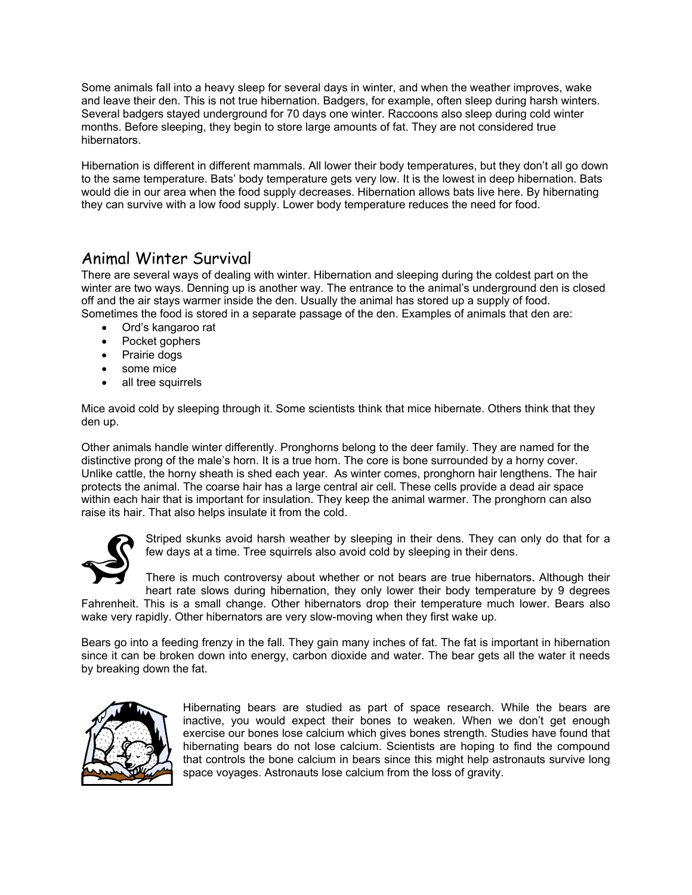Some animals fall into a heavy sleep for several days in winter, and when the weather improves, wake and leave their den. This is not true hibernation. Badgers, for example, often sleep during harsh winters. Several badgers stayed underground for 70 days one winter. Raccoons also sleep during cold winter months. Before sleeping, they begin to store large amounts of fat. They are not considered true hibernators.

Hibernation is different in different mammals. All lower their body temperatures, but they don't all go down to the same temperature. Bats' body temperature gets very low. It is the lowest in deep hibernation. Bats would die in our area when the food supply decreases. Hibernation allows bats live here. By hibernating they can survive with a low food supply. Lower body temperature reduces the need for food.

#### Animal Winter Survival

There are several ways of dealing with winter. Hibernation and sleeping during the coldest part on the winter are two ways. Denning up is another way. The entrance to the animal's underground den is closed off and the air stays warmer inside the den. Usually the animal has stored up a supply of food. Sometimes the food is stored in a separate passage of the den. Examples of animals that den are:

- Ord's kangaroo rat
- Pocket gophers
- Prairie dogs
- some mice
- all tree squirrels

Mice avoid cold by sleeping through it. Some scientists think that mice hibernate. Others think that they den up.

Other animals handle winter differently. Pronghorns belong to the deer family. They are named for the distinctive prong of the male's horn. It is a true horn. The core is bone surrounded by a horny cover. Unlike cattle, the horny sheath is shed each year. As winter comes, pronghorn hair lengthens. The hair protects the animal. The coarse hair has a large central air cell. These cells provide a dead air space within each hair that is important for insulation. They keep the animal warmer. The pronghorn can also raise its hair. That also helps insulate it from the cold.



Striped skunks avoid harsh weather by sleeping in their dens. They can only do that for a few days at a time. Tree squirrels also avoid cold by sleeping in their dens.

There is much controversy about whether or not bears are true hibernators. Although their heart rate slows during hibernation, they only lower their body temperature by 9 degrees Fahrenheit. This is a small change. Other hibernators drop their temperature much lower. Bears also

wake very rapidly. Other hibernators are very slow-moving when they first wake up.

Bears go into a feeding frenzy in the fall. They gain many inches of fat. The fat is important in hibernation since it can be broken down into energy, carbon dioxide and water. The bear gets all the water it needs by breaking down the fat.



Hibernating bears are studied as part of space research. While the bears are inactive, you would expect their bones to weaken. When we don't get enough exercise our bones lose calcium which gives bones strength. Studies have found that hibernating bears do not lose calcium. Scientists are hoping to find the compound that controls the bone calcium in bears since this might help astronauts survive long space voyages. Astronauts lose calcium from the loss of gravity.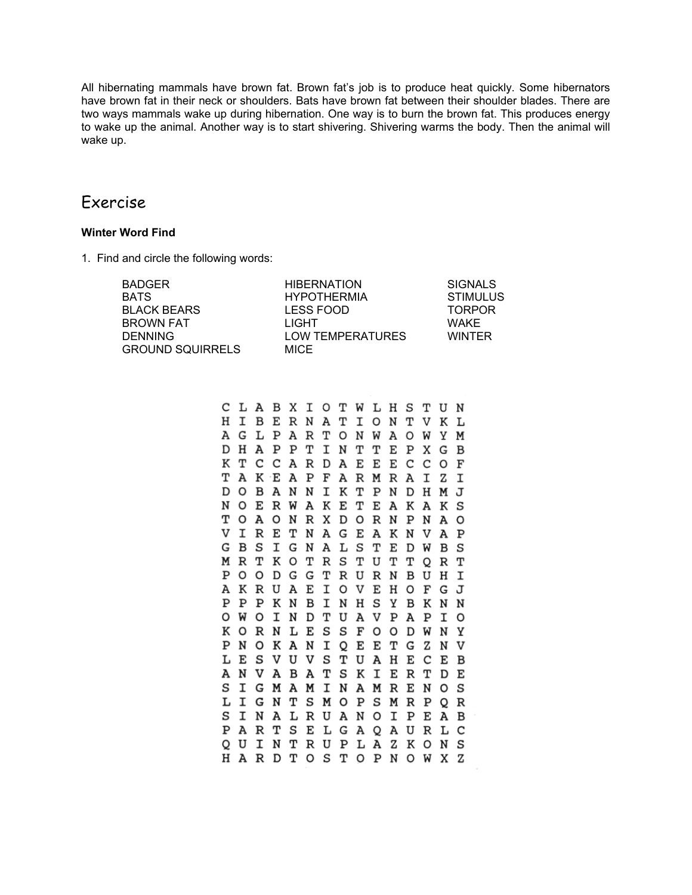All hibernating mammals have brown fat. Brown fat's job is to produce heat quickly. Some hibernators have brown fat in their neck or shoulders. Bats have brown fat between their shoulder blades. There are two ways mammals wake up during hibernation. One way is to burn the brown fat. This produces energy to wake up the animal. Another way is to start shivering. Shivering warms the body. Then the animal will wake up.

#### Exercise

#### **Winter Word Find**

1. Find and circle the following words:

| <b>BADGER</b>           | <b>HIBERNATION</b> | <b>SIGNALS</b> |
|-------------------------|--------------------|----------------|
| <b>BATS</b>             | <b>HYPOTHERMIA</b> | STIMULUS       |
| <b>BLACK BEARS</b>      | LESS FOOD          | <b>TORPOR</b>  |
| <b>BROWN FAT</b>        | LIGHT              | <b>WAKE</b>    |
| <b>DENNING</b>          | LOW TEMPERATURES   | <b>WINTFR</b>  |
| <b>GROUND SQUIRRELS</b> | <b>MICE</b>        |                |

CLABXIOTWLHS т UN HIBERNAT I O N т  $\mathbf{V}$ K L A G L P  $\mathbf A$  $\, {\bf R}$ т O Y N W A O M M DHAPPT INTT E G  $\mathbf{B}$ P X KTCCARDAEEE c c O F Т A K E A  $\mathbf P$ F ARMR  $\mathbf{A}$  $\mathbf I$  $Z$ I DOBANN I K T PNDHMJ NOERWAKE  $\mathbf T$ EAKAKS т O A O N R X D O **RNPN** A  $\circ$ VIRETNAGEAKNV A P G B S I G N A L S T  $\mathbf E$ D W В S MRTKO т R S т U T T O  $\mathbf R$ т  $\, {\rm H}$ POODGG TRURN B U  $\mathbf{T}$ AKRUAE IOVE H O F G J PPPKNB INH S Y B K N N OWOIND TUA **VPAP** I  $\circ$ KORNLE S S F O O D W N Y PNOKA N I Q Е E т G  $\mathbf z$ N  $\mathbf v$ LESVUV S т UAHEC  $E$  $\overline{B}$ ANVABA T S к IERT D E S I G M A M I N A M R E N o s LIGNTSMOPSMRPQR S INALRUANO I PEAB PARTSE LGAQAURLC Q U I N T R U P L A Z K O N S HARDTOSTOPNOWXZ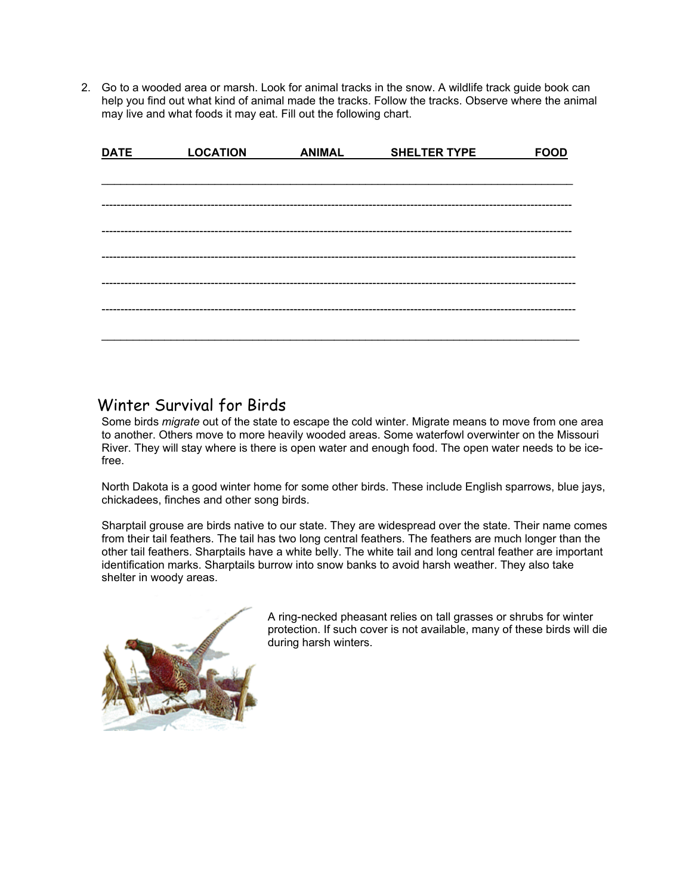2. Go to a wooded area or marsh. Look for animal tracks in the snow. A wildlife track guide book can help you find out what kind of animal made the tracks. Follow the tracks. Observe where the animal may live and what foods it may eat. Fill out the following chart.

| <b>DATE</b> | <b>LOCATION</b> | <b>ANIMAL</b> | <b>SHELTER TYPE</b> | <b>FOOD</b> |
|-------------|-----------------|---------------|---------------------|-------------|
|             |                 |               |                     |             |
|             |                 |               |                     |             |
|             |                 |               |                     |             |
|             |                 |               |                     |             |
|             |                 |               |                     |             |
|             |                 |               |                     |             |
|             |                 |               |                     |             |
|             |                 |               |                     |             |
|             |                 |               |                     |             |
|             |                 |               |                     |             |

### Winter Survival for Birds

Some birds *migrate* out of the state to escape the cold winter. Migrate means to move from one area to another. Others move to more heavily wooded areas. Some waterfowl overwinter on the Missouri River. They will stay where is there is open water and enough food. The open water needs to be icefree.

North Dakota is a good winter home for some other birds. These include English sparrows, blue jays, chickadees, finches and other song birds.

Sharptail grouse are birds native to our state. They are widespread over the state. Their name comes from their tail feathers. The tail has two long central feathers. The feathers are much longer than the other tail feathers. Sharptails have a white belly. The white tail and long central feather are important identification marks. Sharptails burrow into snow banks to avoid harsh weather. They also take shelter in woody areas.



A ring-necked pheasant relies on tall grasses or shrubs for winter protection. If such cover is not available, many of these birds will die during harsh winters.